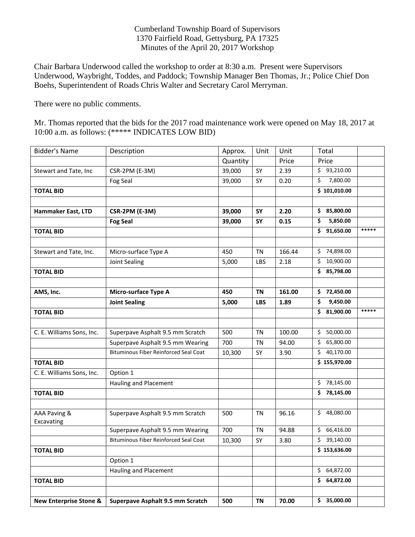Cumberland Township Board of Supervisors 1370 Fairfield Road, Gettysburg, PA 17325 Minutes of the April 20, 2017 Workshop

Chair Barbara Underwood called the workshop to order at 8:30 a.m. Present were Supervisors Underwood, Waybright, Toddes, and Paddock; Township Manager Ben Thomas, Jr.; Police Chief Don Boehs, Superintendent of Roads Chris Walter and Secretary Carol Merryman.

There were no public comments.

Mr. Thomas reported that the bids for the 2017 road maintenance work were opened on May 18, 2017 at 10:00 a.m. as follows: (\*\*\*\*\* INDICATES LOW BID)

| <b>Bidder's Name</b>              | Description                                  | Approx.  | Unit       | Unit   | Total                     |       |
|-----------------------------------|----------------------------------------------|----------|------------|--------|---------------------------|-------|
|                                   |                                              | Quantity |            | Price  | Price                     |       |
| Stewart and Tate, Inc             | CSR-2PM (E-3M)                               | 39,000   | SY         | 2.39   | \$93,210.00               |       |
|                                   | Fog Seal                                     | 39,000   | SY         | 0.20   | \$<br>7,800.00            |       |
| <b>TOTAL BID</b>                  |                                              |          |            |        | \$101,010.00              |       |
|                                   |                                              |          |            |        |                           |       |
| Hammaker East, LTD                | CSR-2PM (E-3M)                               | 39,000   | SY         | 2.20   | 85,800.00<br>\$.          |       |
|                                   | <b>Fog Seal</b>                              | 39,000   | SY         | 0.15   | \$<br>5,850.00            |       |
| <b>TOTAL BID</b>                  |                                              |          |            |        | \$<br>91,650.00           | ***** |
|                                   |                                              |          |            |        |                           |       |
| Stewart and Tate, Inc.            | Micro-surface Type A                         | 450      | ΤN         | 166.44 | \$74,898.00               |       |
|                                   | Joint Sealing                                | 5,000    | LBS        | 2.18   | \$<br>10,900.00           |       |
| <b>TOTAL BID</b>                  |                                              |          |            |        | \$85,798.00               |       |
|                                   |                                              |          |            |        |                           |       |
| AMS, Inc.                         | <b>Micro-surface Type A</b>                  | 450      | <b>TN</b>  | 161.00 | \$72,450.00               |       |
|                                   | <b>Joint Sealing</b>                         | 5,000    | <b>LBS</b> | 1.89   | \$<br>9,450.00            |       |
| <b>TOTAL BID</b>                  |                                              |          |            |        | \$1,900.00                | ***** |
|                                   |                                              |          |            |        |                           |       |
| C. E. Williams Sons, Inc.         | Superpave Asphalt 9.5 mm Scratch             | 500      | <b>TN</b>  | 100.00 | \$50,000.00               |       |
|                                   | Superpave Asphalt 9.5 mm Wearing             | 700      | <b>TN</b>  | 94.00  | \$65,800.00               |       |
|                                   | <b>Bituminous Fiber Reinforced Seal Coat</b> | 10,300   | SY         | 3.90   | \$40,170.00               |       |
| <b>TOTAL BID</b>                  |                                              |          |            |        | \$155,970.00              |       |
| C. E. Williams Sons, Inc.         | Option 1                                     |          |            |        |                           |       |
|                                   | Hauling and Placement                        |          |            |        | \$78,145.00               |       |
| <b>TOTAL BID</b>                  |                                              |          |            |        | \$78,145.00               |       |
|                                   |                                              |          |            |        |                           |       |
| AAA Paving &                      | Superpave Asphalt 9.5 mm Scratch             | 500      | <b>TN</b>  | 96.16  | \$48,080.00               |       |
| Excavating                        |                                              |          |            |        |                           |       |
|                                   | Superpave Asphalt 9.5 mm Wearing             | 700      | <b>TN</b>  | 94.88  | \$66,416.00               |       |
|                                   | <b>Bituminous Fiber Reinforced Seal Coat</b> | 10,300   | SY         | 3.80   | \$39,140.00               |       |
| <b>TOTAL BID</b>                  |                                              |          |            |        | $\overline{5}$ 153,636.00 |       |
|                                   | Option 1                                     |          |            |        |                           |       |
|                                   | Hauling and Placement                        |          |            |        | \$64,872.00               |       |
| <b>TOTAL BID</b>                  |                                              |          |            |        | 64,872.00<br>\$.          |       |
|                                   |                                              |          |            |        |                           |       |
| <b>New Enterprise Stone &amp;</b> | Superpave Asphalt 9.5 mm Scratch             | 500      | <b>TN</b>  | 70.00  | \$35,000.00               |       |